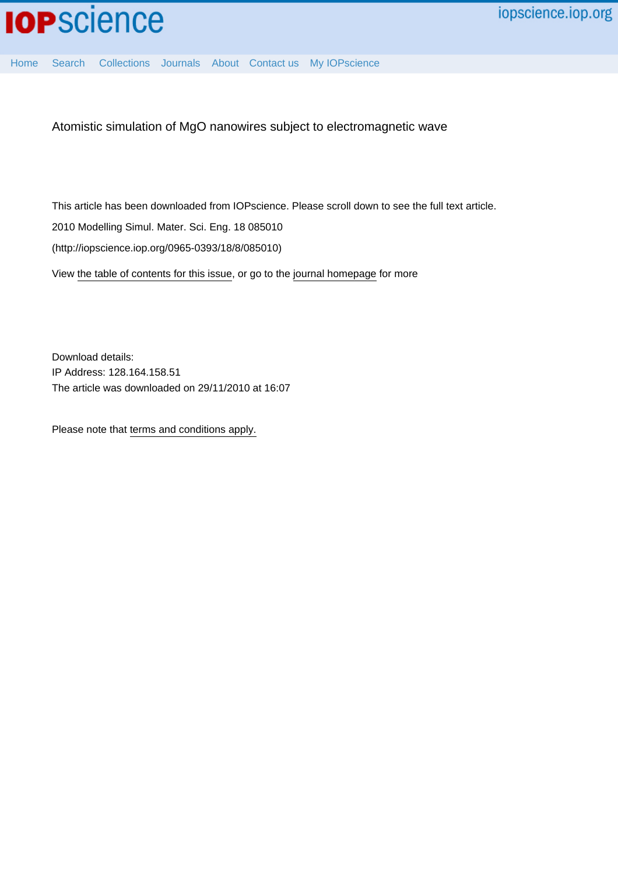

[Home](http://iopscience.iop.org/) [Search](http://iopscience.iop.org/search) [Collections](http://iopscience.iop.org/collections) [Journals](http://iopscience.iop.org/journals) [About](http://iopscience.iop.org/page/aboutioppublishing) [Contact us](http://iopscience.iop.org/contact) [My IOPscience](http://iopscience.iop.org/myiopscience)

Atomistic simulation of MgO nanowires subject to electromagnetic wave

This article has been downloaded from IOPscience. Please scroll down to see the full text article. 2010 Modelling Simul. Mater. Sci. Eng. 18 085010 (http://iopscience.iop.org/0965-0393/18/8/085010) View [the table of contents for this issue](http://iopscience.iop.org/0965-0393/18/8), or go to the [journal homepage](http://iopscience.iop.org/0965-0393) for more

Download details: IP Address: 128.164.158.51 The article was downloaded on 29/11/2010 at 16:07

Please note that [terms and conditions apply.](http://iopscience.iop.org/page/terms)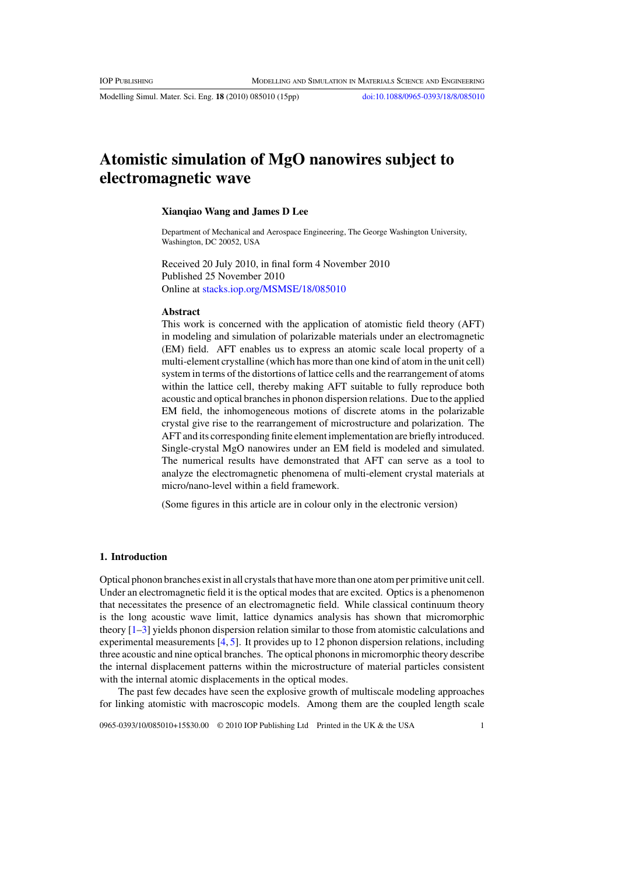Modelling Simul. Mater. Sci. Eng. **18** (2010) 085010 (15pp) [doi:10.1088/0965-0393/18/8/085010](http://dx.doi.org/10.1088/0965-0393/18/8/085010)

# **Atomistic simulation of MgO nanowires subject to electromagnetic wave**

## **Xianqiao Wang and James D Lee**

Department of Mechanical and Aerospace Engineering, The George Washington University, Washington, DC 20052, USA

Received 20 July 2010, in final form 4 November 2010 Published 25 November 2010 Online at [stacks.iop.org/MSMSE/18/085010](http://stacks.iop.org/MSMSE/18/085010)

#### **Abstract**

This work is concerned with the application of atomistic field theory (AFT) in modeling and simulation of polarizable materials under an electromagnetic (EM) field. AFT enables us to express an atomic scale local property of a multi-element crystalline (which has more than one kind of atom in the unit cell) system in terms of the distortions of lattice cells and the rearrangement of atoms within the lattice cell, thereby making AFT suitable to fully reproduce both acoustic and optical branches in phonon dispersion relations. Due to the applied EM field, the inhomogeneous motions of discrete atoms in the polarizable crystal give rise to the rearrangement of microstructure and polarization. The AFT and its corresponding finite element implementation are briefly introduced. Single-crystal MgO nanowires under an EM field is modeled and simulated. The numerical results have demonstrated that AFT can serve as a tool to analyze the electromagnetic phenomena of multi-element crystal materials at micro/nano-level within a field framework.

(Some figures in this article are in colour only in the electronic version)

#### **1. Introduction**

Optical phonon branches exist in all crystals that have more than one atom per primitive unit cell. Under an electromagnetic field it is the optical modes that are excited. Optics is a phenomenon that necessitates the presence of an electromagnetic field. While classical continuum theory is the long acoustic wave limit, lattice dynamics analysis has shown that micromorphic theory [\[1–3\]](#page-14-0) yields phonon dispersion relation similar to those from atomistic calculations and experimental measurements [\[4,](#page-14-0) [5\]](#page-14-0). It provides up to 12 phonon dispersion relations, including three acoustic and nine optical branches. The optical phonons in micromorphic theory describe the internal displacement patterns within the microstructure of material particles consistent with the internal atomic displacements in the optical modes.

The past few decades have seen the explosive growth of multiscale modeling approaches for linking atomistic with macroscopic models. Among them are the coupled length scale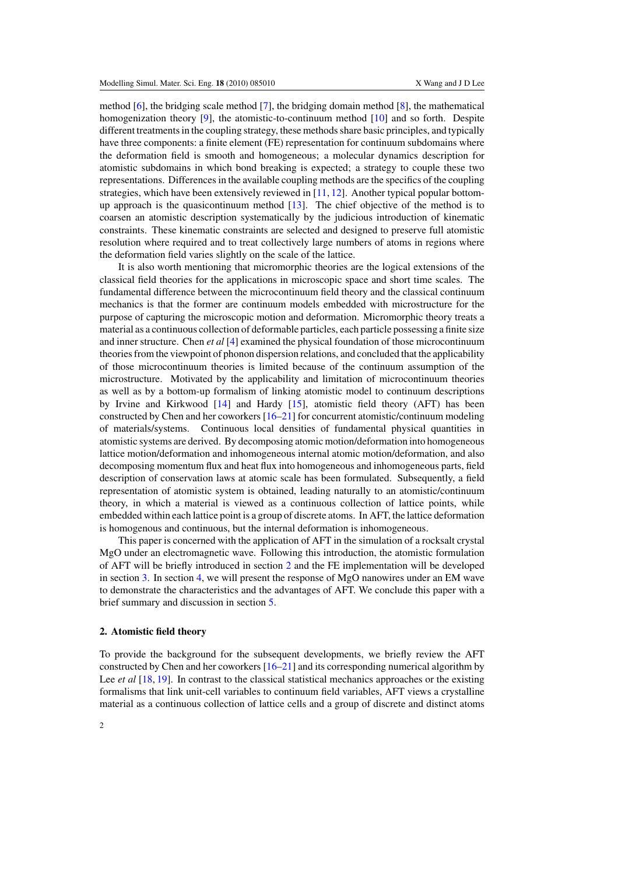method [\[6\]](#page-14-0), the bridging scale method [\[7\]](#page-15-0), the bridging domain method [\[8\]](#page-15-0), the mathematical homogenization theory [\[9\]](#page-15-0), the atomistic-to-continuum method [\[10\]](#page-15-0) and so forth. Despite different treatments in the coupling strategy, these methods share basic principles, and typically have three components: a finite element (FE) representation for continuum subdomains where the deformation field is smooth and homogeneous; a molecular dynamics description for atomistic subdomains in which bond breaking is expected; a strategy to couple these two representations. Differences in the available coupling methods are the specifics of the coupling strategies, which have been extensively reviewed in [\[11,](#page-15-0) [12\]](#page-15-0). Another typical popular bottomup approach is the quasicontinuum method  $[13]$ . The chief objective of the method is to coarsen an atomistic description systematically by the judicious introduction of kinematic constraints. These kinematic constraints are selected and designed to preserve full atomistic resolution where required and to treat collectively large numbers of atoms in regions where the deformation field varies slightly on the scale of the lattice.

It is also worth mentioning that micromorphic theories are the logical extensions of the classical field theories for the applications in microscopic space and short time scales. The fundamental difference between the microcontinuum field theory and the classical continuum mechanics is that the former are continuum models embedded with microstructure for the purpose of capturing the microscopic motion and deformation. Micromorphic theory treats a material as a continuous collection of deformable particles, each particle possessing a finite size and inner structure. Chen *et al* [\[4\]](#page-14-0) examined the physical foundation of those microcontinuum theories from the viewpoint of phonon dispersion relations, and concluded that the applicability of those microcontinuum theories is limited because of the continuum assumption of the microstructure. Motivated by the applicability and limitation of microcontinuum theories as well as by a bottom-up formalism of linking atomistic model to continuum descriptions by Irvine and Kirkwood [\[14\]](#page-15-0) and Hardy [\[15\]](#page-15-0), atomistic field theory (AFT) has been constructed by Chen and her coworkers [\[16–21\]](#page-15-0) for concurrent atomistic/continuum modeling of materials/systems. Continuous local densities of fundamental physical quantities in atomistic systems are derived. By decomposing atomic motion/deformation into homogeneous lattice motion/deformation and inhomogeneous internal atomic motion/deformation, and also decomposing momentum flux and heat flux into homogeneous and inhomogeneous parts, field description of conservation laws at atomic scale has been formulated. Subsequently, a field representation of atomistic system is obtained, leading naturally to an atomistic/continuum theory, in which a material is viewed as a continuous collection of lattice points, while embedded within each lattice point is a group of discrete atoms. In AFT, the lattice deformation is homogenous and continuous, but the internal deformation is inhomogeneous.

This paper is concerned with the application of AFT in the simulation of a rocksalt crystal MgO under an electromagnetic wave. Following this introduction, the atomistic formulation of AFT will be briefly introduced in section 2 and the FE implementation will be developed in section [3.](#page-6-0) In section [4,](#page-8-0) we will present the response of MgO nanowires under an EM wave to demonstrate the characteristics and the advantages of AFT. We conclude this paper with a brief summary and discussion in section [5.](#page-14-0)

#### **2. Atomistic field theory**

To provide the background for the subsequent developments, we briefly review the AFT constructed by Chen and her coworkers [\[16–21\]](#page-15-0) and its corresponding numerical algorithm by Lee *et al* [\[18,](#page-15-0) [19\]](#page-15-0). In contrast to the classical statistical mechanics approaches or the existing formalisms that link unit-cell variables to continuum field variables, AFT views a crystalline material as a continuous collection of lattice cells and a group of discrete and distinct atoms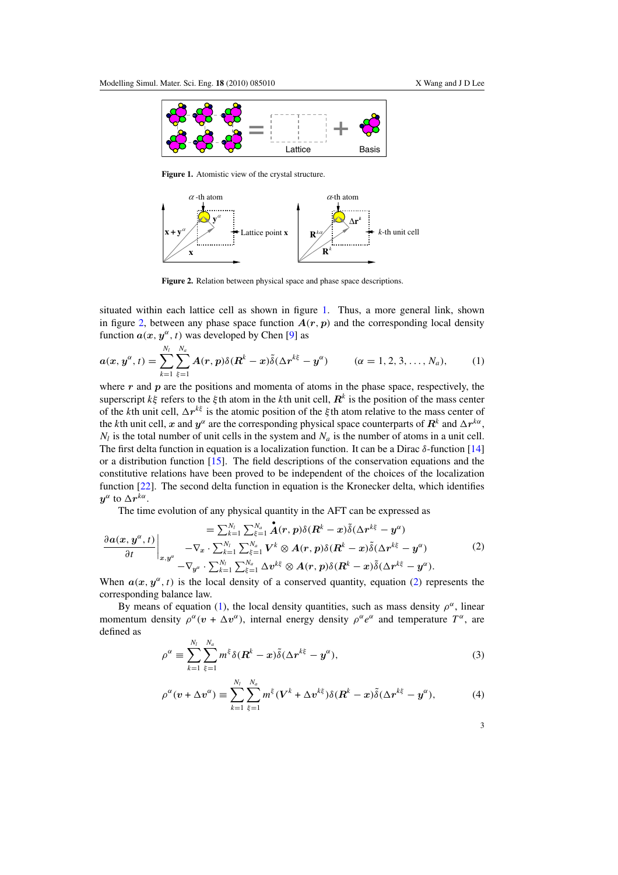<span id="page-3-0"></span>

**Figure 1.** Atomistic view of the crystal structure.



**Figure 2.** Relation between physical space and phase space descriptions.

situated within each lattice cell as shown in figure 1. Thus, a more general link, shown in figure 2, between any phase space function  $A(r, p)$  and the corresponding local density function  $a(x, y^{\alpha}, t)$  was developed by Chen [\[9\]](#page-15-0) as

$$
a(x, y^{\alpha}, t) = \sum_{k=1}^{N_l} \sum_{\xi=1}^{N_a} A(r, p) \delta(R^k - x) \tilde{\delta}(\Delta r^{k\xi} - y^{\alpha}) \qquad (\alpha = 1, 2, 3, \ldots, N_a), \qquad (1)
$$

where r and p are the positions and momenta of atoms in the phase space, respectively, the superscript *kξ* refers to the *ξ* th atom in the *k*th unit cell, *R<sup>k</sup>* is the position of the mass center of the *k*th unit cell,  $\Delta r^{k\xi}$  is the atomic position of the *ξ* th atom relative to the mass center of the *k*th unit cell, *x* and  $y^{\alpha}$  are the corresponding physical space counterparts of  $R^k$  and  $\Delta r^{k\alpha}$ ,  $N_l$  is the total number of unit cells in the system and  $N_a$  is the number of atoms in a unit cell. The first delta function in equation is a localization function. It can be a Dirac *δ*-function [\[14\]](#page-15-0) or a distribution function  $[15]$ . The field descriptions of the conservation equations and the constitutive relations have been proved to be independent of the choices of the localization function [\[22\]](#page-15-0). The second delta function in equation is the Kronecker delta, which identifies *y*<sup>*α*</sup> to  $\Delta r^{k\alpha}$ .

The time evolution of any physical quantity in the AFT can be expressed as

$$
= \sum_{k=1}^{N_l} \sum_{\xi=1}^{N_a} \mathbf{A}(r, p) \delta(\mathbf{R}^k - x) \tilde{\delta}(\Delta r^{k\xi} - y^{\alpha})
$$

$$
\frac{\partial a(x, y^{\alpha}, t)}{\partial t} \bigg|_{x, y^{\alpha}} - \nabla_x \cdot \sum_{k=1}^{N_l} \sum_{\xi=1}^{N_a} V^k \otimes A(r, p) \delta(\mathbf{R}^k - x) \tilde{\delta}(\Delta r^{k\xi} - y^{\alpha})
$$
(2)
$$
- \nabla_{y^{\alpha}} \cdot \sum_{k=1}^{N_l} \sum_{\xi=1}^{N_a} \Delta v^{k\xi} \otimes A(r, p) \delta(\mathbf{R}^k - x) \tilde{\delta}(\Delta r^{k\xi} - y^{\alpha}).
$$

When  $a(x, y^{\alpha}, t)$  is the local density of a conserved quantity, equation (2) represents the corresponding balance law.

By means of equation (1), the local density quantities, such as mass density  $\rho^{\alpha}$ , linear momentum density  $\rho^{\alpha}(v + \Delta v^{\alpha})$ , internal energy density  $\rho^{\alpha}e^{\alpha}$  and temperature  $T^{\alpha}$ , are defined as

$$
\rho^{\alpha} \equiv \sum_{k=1}^{N_l} \sum_{\xi=1}^{N_a} m^{\xi} \delta(\mathbf{R}^k - \mathbf{x}) \tilde{\delta} (\Delta \mathbf{r}^{k \xi} - \mathbf{y}^{\alpha}), \tag{3}
$$

$$
\rho^{\alpha}(v + \Delta v^{\alpha}) \equiv \sum_{k=1}^{N_l} \sum_{\xi=1}^{N_a} m^{\xi} (V^k + \Delta v^{k\xi}) \delta(\mathbf{R}^k - x) \tilde{\delta}(\Delta r^{k\xi} - y^{\alpha}), \tag{4}
$$

3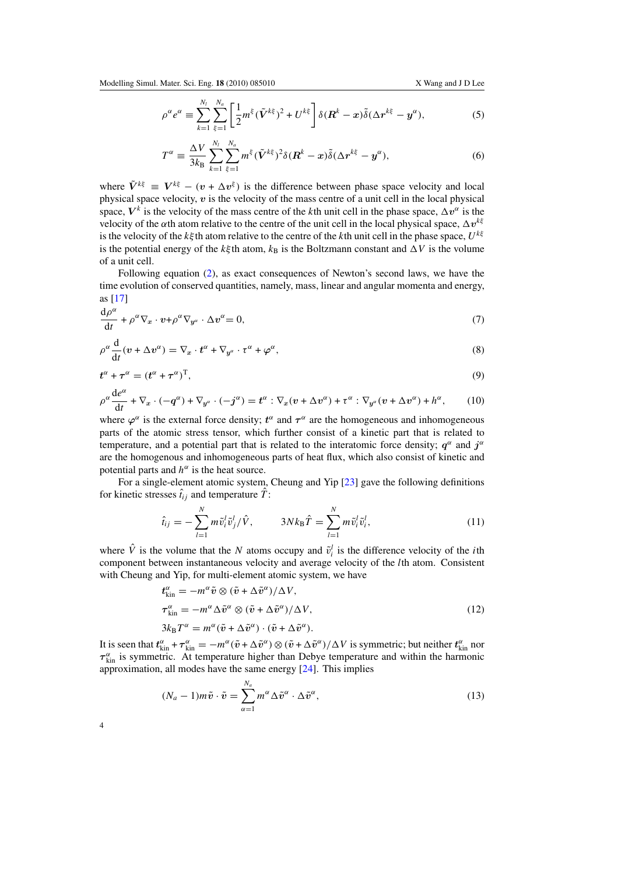<span id="page-4-0"></span>
$$
\rho^{\alpha} e^{\alpha} \equiv \sum_{k=1}^{N_l} \sum_{\xi=1}^{N_a} \left[ \frac{1}{2} m^{\xi} (\tilde{\boldsymbol{V}}^{k\xi})^2 + U^{k\xi} \right] \delta(\boldsymbol{R}^k - \boldsymbol{x}) \tilde{\delta} (\Delta \boldsymbol{r}^{k\xi} - \boldsymbol{y}^{\alpha}), \tag{5}
$$

$$
T^{\alpha} \equiv \frac{\Delta V}{3k_B} \sum_{k=1}^{N_l} \sum_{\xi=1}^{N_a} m^{\xi} (\tilde{\boldsymbol{V}}^{k\xi})^2 \delta(\boldsymbol{R}^k - \boldsymbol{x}) \tilde{\delta} (\Delta \boldsymbol{r}^{k\xi} - \boldsymbol{y}^{\alpha}), \tag{6}
$$

where  $\tilde{V}^{k\xi} = V^{k\xi} - (v + \Delta v^{\xi})$  is the difference between phase space velocity and local physical space velocity,  $v$  is the velocity of the mass centre of a unit cell in the local physical space,  $V^k$  is the velocity of the mass centre of the *k*th unit cell in the phase space,  $\Delta v^{\alpha}$  is the velocity of the  $\alpha$ th atom relative to the centre of the unit cell in the local physical space,  $\Delta v^{k\xi}$ is the velocity of the *kξ* th atom relative to the centre of the *k*th unit cell in the phase space, *Ukξ* is the potential energy of the *k* $\xi$ <sup>th</sup> atom,  $k_B$  is the Boltzmann constant and  $\Delta V$  is the volume of a unit cell.

Following equation [\(2\)](#page-3-0), as exact consequences of Newton's second laws, we have the time evolution of conserved quantities, namely, mass, linear and angular momenta and energy, as [\[17\]](#page-15-0)

$$
\frac{\mathrm{d}\rho^{\alpha}}{\mathrm{d}t} + \rho^{\alpha}\nabla_x \cdot \boldsymbol{v} + \rho^{\alpha}\nabla_{\boldsymbol{y}^{\alpha}} \cdot \Delta \boldsymbol{v}^{\alpha} = 0, \tag{7}
$$

$$
\rho^{\alpha} \frac{d}{dt} (v + \Delta v^{\alpha}) = \nabla_x \cdot t^{\alpha} + \nabla_{y^{\alpha}} \cdot t^{\alpha} + \varphi^{\alpha}, \qquad (8)
$$

$$
t^{\alpha} + \tau^{\alpha} = (t^{\alpha} + \tau^{\alpha})^{\mathrm{T}}, \tag{9}
$$

$$
\rho^{\alpha} \frac{d e^{\alpha}}{dt} + \nabla_x \cdot (-q^{\alpha}) + \nabla_{y^{\alpha}} \cdot (-j^{\alpha}) = t^{\alpha} : \nabla_x (v + \Delta v^{\alpha}) + \tau^{\alpha} : \nabla_{y^{\alpha}} (v + \Delta v^{\alpha}) + h^{\alpha}, \qquad (10)
$$

where  $\varphi^{\alpha}$  is the external force density;  $t^{\alpha}$  and  $\tau^{\alpha}$  are the homogeneous and inhomogeneous parts of the atomic stress tensor, which further consist of a kinetic part that is related to temperature, and a potential part that is related to the interatomic force density;  $q^{\alpha}$  and  $j^{\alpha}$ are the homogenous and inhomogeneous parts of heat flux, which also consist of kinetic and potential parts and  $h^{\alpha}$  is the heat source.

For a single-element atomic system, Cheung and Yip [\[23\]](#page-15-0) gave the following definitions for kinetic stresses  $\hat{t}_{ij}$  and temperature  $\hat{T}$ :

$$
\hat{t}_{ij} = -\sum_{l=1}^{N} m \tilde{v}_i^l \tilde{v}_j^l / \hat{V}, \qquad 3Nk_\text{B} \hat{T} = \sum_{l=1}^{N} m \tilde{v}_i^l \tilde{v}_i^l,
$$
\n(11)

where  $\hat{V}$  is the volume that the *N* atoms occupy and  $\tilde{v}_i^l$  is the difference velocity of the *i*th component between instantaneous velocity and average velocity of the *l*th atom. Consistent with Cheung and Yip, for multi-element atomic system, we have

$$
t_{\rm kin}^{\alpha} = -m^{\alpha} \tilde{v} \otimes (\tilde{v} + \Delta \tilde{v}^{\alpha}) / \Delta V,
$$
  
\n
$$
\tau_{\rm kin}^{\alpha} = -m^{\alpha} \Delta \tilde{v}^{\alpha} \otimes (\tilde{v} + \Delta \tilde{v}^{\alpha}) / \Delta V,
$$
  
\n
$$
3k_{\rm B} T^{\alpha} = m^{\alpha} (\tilde{v} + \Delta \tilde{v}^{\alpha}) \cdot (\tilde{v} + \Delta \tilde{v}^{\alpha}).
$$
\n(12)

It is seen that  $t_{\text{kin}}^{\alpha} + \tau_{\text{kin}}^{\alpha} = -m^{\alpha}(\tilde{v} + \Delta \tilde{v}^{\alpha}) \otimes (\tilde{v} + \Delta \tilde{v}^{\alpha})/\Delta V$  is symmetric; but neither  $t_{\text{kin}}^{\alpha}$  nor  $\tau_{\text{kin}}^{\alpha}$  is symmetric. At temperature higher than Debye temperature and within the harmonic approximation, all modes have the same energy [\[24\]](#page-15-0). This implies

$$
(N_a - 1)m\tilde{v} \cdot \tilde{v} = \sum_{\alpha=1}^{N_a} m^{\alpha} \Delta \tilde{v}^{\alpha} \cdot \Delta \tilde{v}^{\alpha}, \qquad (13)
$$

4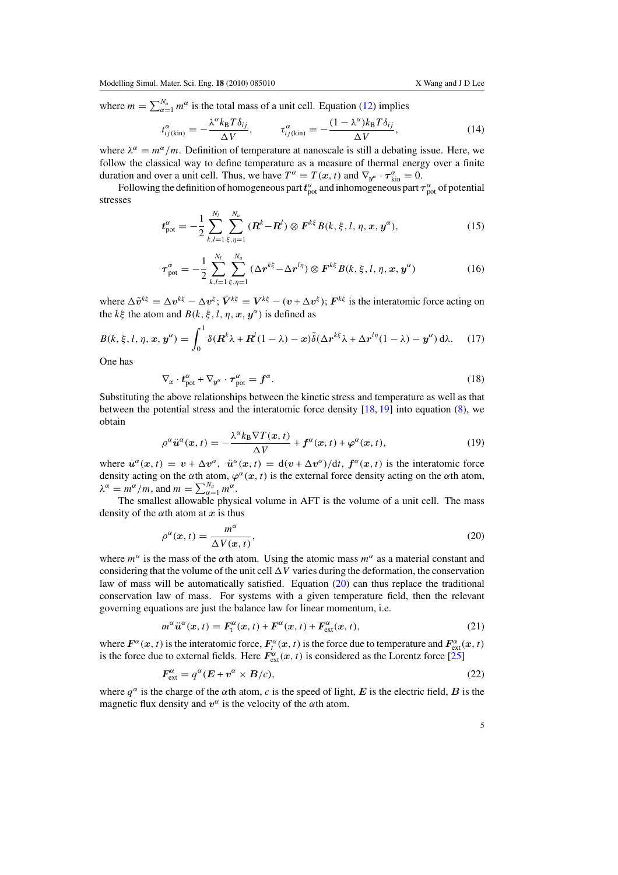<span id="page-5-0"></span>where  $m = \sum_{\alpha=1}^{N_a} m^{\alpha}$  is the total mass of a unit cell. Equation [\(12\)](#page-4-0) implies

$$
t_{ij(kin)}^{\alpha} = -\frac{\lambda^{\alpha} k_{\rm B} T \delta_{ij}}{\Delta V}, \qquad \tau_{ij(kin)}^{\alpha} = -\frac{(1 - \lambda^{\alpha}) k_{\rm B} T \delta_{ij}}{\Delta V}, \qquad (14)
$$

where  $\lambda^{\alpha} = m^{\alpha}/m$ . Definition of temperature at nanoscale is still a debating issue. Here, we follow the classical way to define temperature as a measure of thermal energy over a finite duration and over a unit cell. Thus, we have  $T^{\alpha} = T(x, t)$  and  $\nabla_{y^{\alpha}} \cdot \tau_{\text{kin}}^{\alpha} = 0$ .

Following the definition of homogeneous part  $t_{pot}^{\alpha}$  and inhomogeneous part  $\tau_{pot}^{\alpha}$  of potential stresses

$$
t_{\text{pot}}^{\alpha} = -\frac{1}{2} \sum_{k,l=1}^{N_l} \sum_{\xi,\eta=1}^{N_a} (R^k - R^l) \otimes F^{k\xi} B(k,\xi,l,\eta,x,y^{\alpha}), \qquad (15)
$$

$$
\tau_{\text{pot}}^{\alpha} = -\frac{1}{2} \sum_{k,l=1}^{N_l} \sum_{\xi,\eta=1}^{N_a} (\Delta r^{k\xi} - \Delta r^{l\eta}) \otimes F^{k\xi} B(k,\xi,l,\eta,x,y^{\alpha}) \tag{16}
$$

where  $\Delta \tilde{v}^{k\xi} = \Delta v^{k\xi} - \Delta v^{\xi}$ ;  $\tilde{V}^{k\xi} = V^{k\xi} - (v + \Delta v^{\xi})$ ;  $F^{k\xi}$  is the interatomic force acting on the  $k\xi$  the atom and  $B(k, \xi, l, \eta, x, y^{\alpha})$  is defined as

$$
B(k, \xi, l, \eta, x, y^{\alpha}) = \int_0^1 \delta(\mathbf{R}^k \lambda + \mathbf{R}^l (1 - \lambda) - x) \tilde{\delta}(\Delta \mathbf{r}^{k \xi} \lambda + \Delta \mathbf{r}^{l \eta} (1 - \lambda) - y^{\alpha}) d\lambda. \tag{17}
$$

One has

$$
\nabla_x \cdot t_{\text{pot}}^{\alpha} + \nabla_{y^{\alpha}} \cdot \tau_{\text{pot}}^{\alpha} = f^{\alpha}.
$$
 (18)

Substituting the above relationships between the kinetic stress and temperature as well as that between the potential stress and the interatomic force density  $[18, 19]$  $[18, 19]$  $[18, 19]$  into equation  $(8)$ , we obtain

$$
\rho^{\alpha}\ddot{u}^{\alpha}(x,t) = -\frac{\lambda^{\alpha}k_{\text{B}}\nabla T(x,t)}{\Delta V} + f^{\alpha}(x,t) + \varphi^{\alpha}(x,t),\tag{19}
$$

where  $\dot{u}^{\alpha}(x,t) = v + \Delta v^{\alpha}$ ,  $\ddot{u}^{\alpha}(x,t) = d(v + \Delta v^{\alpha})/dt$ ,  $f^{\alpha}(x,t)$  is the interatomic force density acting on the  $\alpha$ th atom,  $\varphi^{\alpha}(x, t)$  is the external force density acting on the  $\alpha$ th atom,  $\lambda^{\alpha} = m^{\alpha}/m$ , and  $m = \sum_{\alpha=1}^{N_a} m^{\alpha}$ .

The smallest allowable physical volume in AFT is the volume of a unit cell. The mass density of the  $\alpha$ <sup>th</sup> atom at *x* is thus

$$
\rho^{\alpha}(x,t) = \frac{m^{\alpha}}{\Delta V(x,t)},
$$
\n(20)

where  $m^{\alpha}$  is the mass of the  $\alpha$ th atom. Using the atomic mass  $m^{\alpha}$  as a material constant and considering that the volume of the unit cell  $\Delta V$  varies during the deformation, the conservation law of mass will be automatically satisfied. Equation (20) can thus replace the traditional conservation law of mass. For systems with a given temperature field, then the relevant governing equations are just the balance law for linear momentum, i.e.

$$
m^{\alpha}\ddot{u}^{\alpha}(x,t) = F_{t}^{\alpha}(x,t) + F^{\alpha}(x,t) + F_{\text{ext}}^{\alpha}(x,t),
$$
\n(21)

where  $F^{\alpha}(x, t)$  is the interatomic force,  $F^{\alpha}_{t}(x, t)$  is the force due to temperature and  $F^{\alpha}_{ext}(x, t)$ is the force due to external fields. Here  $F_{ext}^{\alpha}(x, t)$  is considered as the Lorentz force [\[25\]](#page-15-0)

$$
F_{\text{ext}}^{\alpha} = q^{\alpha} (E + v^{\alpha} \times B/c), \tag{22}
$$

where  $q^{\alpha}$  is the charge of the  $\alpha$ th atom, *c* is the speed of light, *E* is the electric field, *B* is the magnetic flux density and  $v^{\alpha}$  is the velocity of the  $\alpha$ th atom.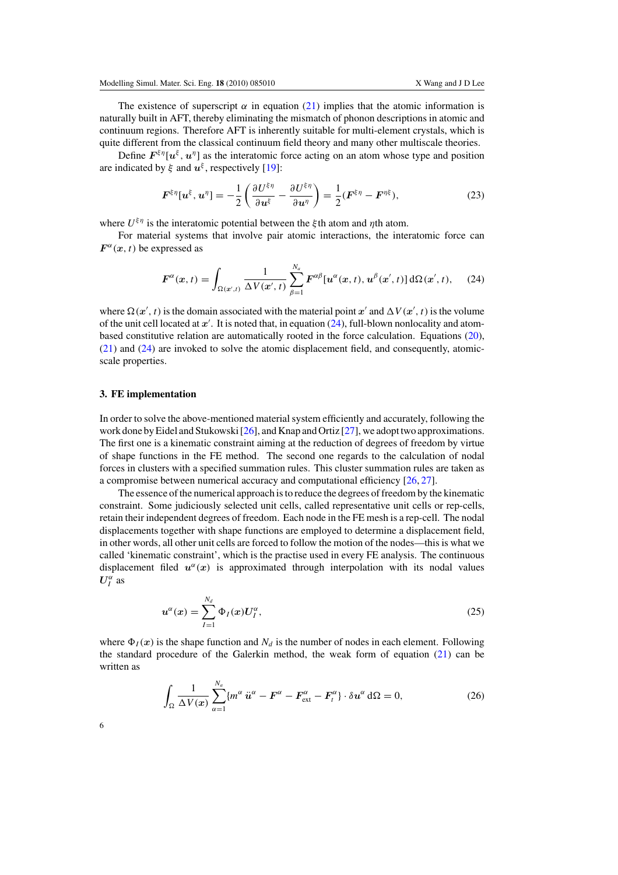<span id="page-6-0"></span>The existence of superscript  $\alpha$  in equation [\(21\)](#page-5-0) implies that the atomic information is naturally built in AFT, thereby eliminating the mismatch of phonon descriptions in atomic and continuum regions. Therefore AFT is inherently suitable for multi-element crystals, which is quite different from the classical continuum field theory and many other multiscale theories.

Define  $F^{\xi\eta}[u^{\xi}, u^{\eta}]$  as the interatomic force acting on an atom whose type and position are indicated by  $\xi$  and  $u^{\xi}$ , respectively [\[19\]](#page-15-0):

$$
\boldsymbol{F}^{\xi\eta}[\boldsymbol{u}^{\xi},\boldsymbol{u}^{\eta}]=-\frac{1}{2}\left(\frac{\partial U^{\xi\eta}}{\partial \boldsymbol{u}^{\xi}}-\frac{\partial U^{\xi\eta}}{\partial \boldsymbol{u}^{\eta}}\right)=\frac{1}{2}(\boldsymbol{F}^{\xi\eta}-\boldsymbol{F}^{\eta\xi}),
$$
\n(23)

where  $U^{\xi\eta}$  is the interatomic potential between the *ξ* th atom and *η*th atom.

For material systems that involve pair atomic interactions, the interatomic force can  $F^{\alpha}(x, t)$  be expressed as

$$
\boldsymbol{F}^{\alpha}(\boldsymbol{x},t) = \int_{\Omega(\boldsymbol{x}',t)} \frac{1}{\Delta V(\boldsymbol{x}',t)} \sum_{\beta=1}^{N_a} \boldsymbol{F}^{\alpha\beta} [\boldsymbol{u}^{\alpha}(\boldsymbol{x},t),\boldsymbol{u}^{\beta}(\boldsymbol{x}',t)] d\Omega(\boldsymbol{x}',t), \quad (24)
$$

where  $\Omega(x', t)$  is the domain associated with the material point x' and  $\Delta V(x', t)$  is the volume of the unit cell located at *x* . It is noted that, in equation (24), full-blown nonlocality and atombased constitutive relation are automatically rooted in the force calculation. Equations [\(20\)](#page-5-0), [\(21\)](#page-5-0) and (24) are invoked to solve the atomic displacement field, and consequently, atomicscale properties.

### **3. FE implementation**

In order to solve the above-mentioned material system efficiently and accurately, following the work done by Eidel and Stukowski [\[26\]](#page-15-0), and Knap and Ortiz [\[27\]](#page-15-0), we adopt two approximations. The first one is a kinematic constraint aiming at the reduction of degrees of freedom by virtue of shape functions in the FE method. The second one regards to the calculation of nodal forces in clusters with a specified summation rules. This cluster summation rules are taken as a compromise between numerical accuracy and computational efficiency [\[26,](#page-15-0) [27\]](#page-15-0).

The essence of the numerical approach is to reduce the degrees of freedom by the kinematic constraint. Some judiciously selected unit cells, called representative unit cells or rep-cells, retain their independent degrees of freedom. Each node in the FE mesh is a rep-cell. The nodal displacements together with shape functions are employed to determine a displacement field, in other words, all other unit cells are forced to follow the motion of the nodes—this is what we called 'kinematic constraint', which is the practise used in every FE analysis. The continuous displacement filed  $u^{\alpha}(x)$  is approximated through interpolation with its nodal values  $U_I^{\alpha}$  as

$$
u^{\alpha}(x) = \sum_{I=1}^{N_d} \Phi_I(x) U_I^{\alpha}, \qquad (25)
$$

where  $\Phi_I(x)$  is the shape function and  $N_d$  is the number of nodes in each element. Following the standard procedure of the Galerkin method, the weak form of equation [\(21\)](#page-5-0) can be written as

$$
\int_{\Omega} \frac{1}{\Delta V(x)} \sum_{\alpha=1}^{N_a} \{ m^{\alpha} \ddot{u}^{\alpha} - F^{\alpha} - F^{\alpha}_{ext} - F^{\alpha}_{t} \} \cdot \delta u^{\alpha} d\Omega = 0, \qquad (26)
$$

6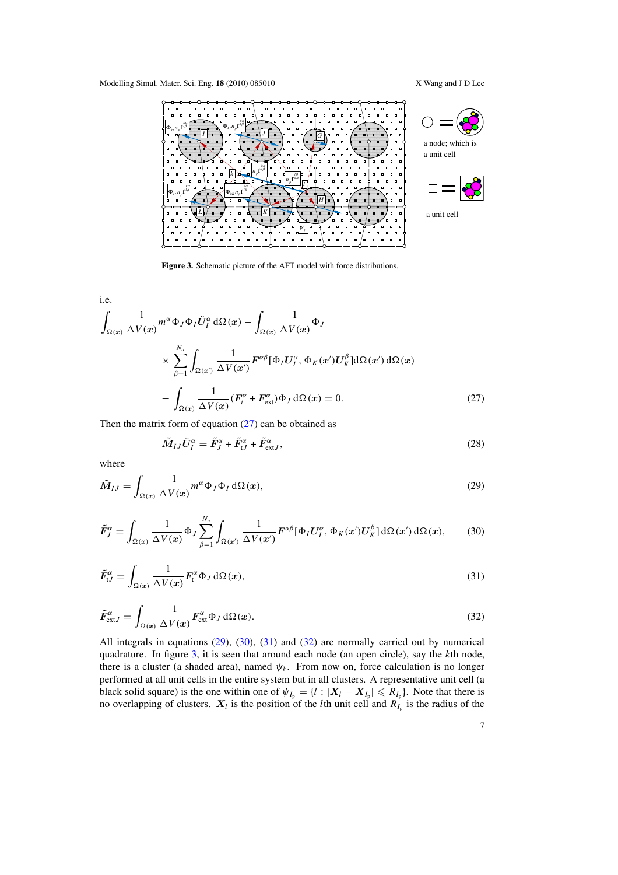<span id="page-7-0"></span>

**Figure 3.** Schematic picture of the AFT model with force distributions.

i.e.  
\n
$$
\int_{\Omega(x)} \frac{1}{\Delta V(x)} m^{\alpha} \Phi_J \Phi_I \ddot{U}_I^{\alpha} d\Omega(x) - \int_{\Omega(x)} \frac{1}{\Delta V(x)} \Phi_J
$$
\n
$$
\times \sum_{\beta=1}^{N_a} \int_{\Omega(x')} \frac{1}{\Delta V(x')} F^{\alpha \beta} [\Phi_I U_I^{\alpha}, \Phi_K(x') U_K^{\beta}] d\Omega(x') d\Omega(x)
$$
\n
$$
- \int_{\Omega(x)} \frac{1}{\Delta V(x)} (F_i^{\alpha} + F_{ext}^{\alpha}) \Phi_J d\Omega(x) = 0.
$$
\n(27)

Then the matrix form of equation  $(27)$  can be obtained as

$$
\tilde{M}_{IJ}\ddot{U}_I^{\alpha} = \tilde{F}_J^{\alpha} + \tilde{F}_{tJ}^{\alpha} + \tilde{F}_{\text{extJ}}^{\alpha},\tag{28}
$$

where

$$
\tilde{M}_{IJ} = \int_{\Omega(x)} \frac{1}{\Delta V(x)} m^{\alpha} \Phi_J \Phi_I d\Omega(x),\tag{29}
$$

$$
\tilde{F}_J^{\alpha} = \int_{\Omega(x)} \frac{1}{\Delta V(x)} \Phi_J \sum_{\beta=1}^{N_a} \int_{\Omega(x')} \frac{1}{\Delta V(x')} F^{\alpha\beta} [\Phi_I U_I^{\alpha}, \Phi_K(x') U_K^{\beta}] d\Omega(x') d\Omega(x), \qquad (30)
$$

$$
\tilde{F}_{tJ}^{\alpha} = \int_{\Omega(x)} \frac{1}{\Delta V(x)} F_t^{\alpha} \Phi_J d\Omega(x), \qquad (31)
$$

$$
\tilde{F}_{\text{extJ}}^{\alpha} = \int_{\Omega(x)} \frac{1}{\Delta V(x)} F_{\text{ext}}^{\alpha} \Phi_J \, d\Omega(x). \tag{32}
$$

All integrals in equations (29), (30), (31) and (32) are normally carried out by numerical quadrature. In figure 3, it is seen that around each node (an open circle), say the *k*th node, there is a cluster (a shaded area), named  $\psi_k$ . From now on, force calculation is no longer performed at all unit cells in the entire system but in all clusters. A representative unit cell (a black solid square) is the one within one of  $\psi_{I_p} = \{l : |X_l - X_{I_p}| \le R_{I_p}\}\$ . Note that there is no overlapping of clusters.  $X_l$  is the position of the *l*th unit cell and  $R_{I_p}$  is the radius of the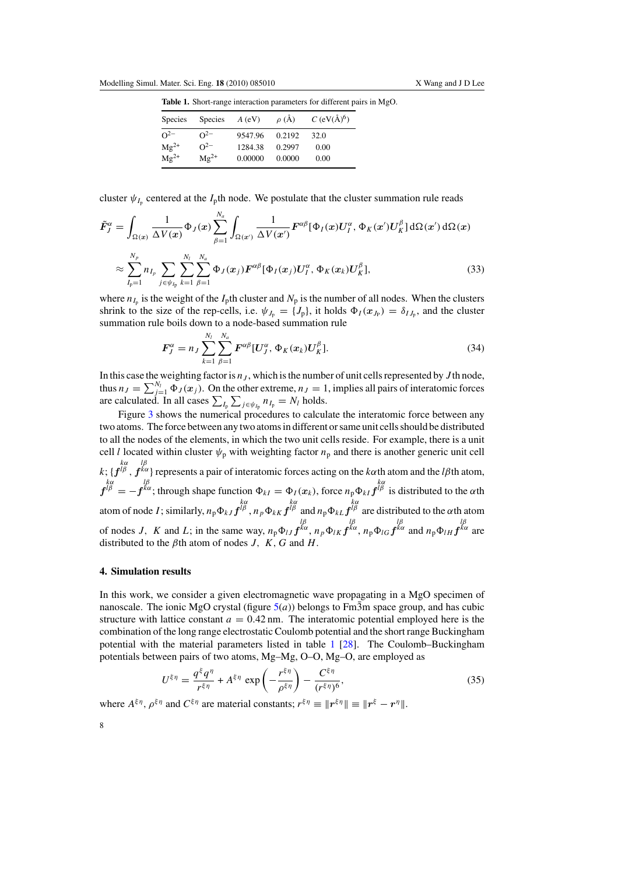<span id="page-8-0"></span>

| Table 1. Short-range interaction parameters for different pairs in MgO. |  |  |  |
|-------------------------------------------------------------------------|--|--|--|
|                                                                         |  |  |  |

| <b>Species</b> | <b>Species</b> | $A$ (eV) | $\rho$ (Å) | $C$ (eV( $\rm\AA)^6$ ) |
|----------------|----------------|----------|------------|------------------------|
| $\Omega^{-2}$  | $\Omega^{-2}$  | 9547.96  | 0.2192     | 32.0                   |
| $Mg^{2+}$      | $\Omega^{-2}$  | 1284.38  | 0.2997     | 0.00                   |
| $Mg^{2+}$      | $Mg^{2+}$      | 0.00000  | 0.0000     | 0.00                   |

cluster  $\psi_{I_p}$  centered at the  $I_p$ th node. We postulate that the cluster summation rule reads

$$
\tilde{F}_{J}^{\alpha} = \int_{\Omega(x)} \frac{1}{\Delta V(x)} \Phi_{J}(x) \sum_{\beta=1}^{N_a} \int_{\Omega(x')} \frac{1}{\Delta V(x')} F^{\alpha\beta} [\Phi_{I}(x) U_{I}^{\alpha}, \Phi_{K}(x') U_{K}^{\beta}] d\Omega(x') d\Omega(x)
$$
\n
$$
\approx \sum_{I_{p}=1}^{N_p} n_{I_p} \sum_{j \in \psi_{I_p}} \sum_{k=1}^{N_l} \sum_{\beta=1}^{N_a} \Phi_{J}(x_j) F^{\alpha\beta} [\Phi_{I}(x_j) U_{I}^{\alpha}, \Phi_{K}(x_k) U_{K}^{\beta}], \tag{33}
$$

where  $n_{I_p}$  is the weight of the  $I_p$ th cluster and  $N_p$  is the number of all nodes. When the clusters shrink to the size of the rep-cells, i.e.  $\psi_{J_p} = \{J_p\}$ , it holds  $\Phi_I(x_{J_p}) = \delta_{IJ_p}$ , and the cluster summation rule boils down to a node-based summation rule

$$
\boldsymbol{F}_{J}^{\alpha} = n_{J} \sum_{k=1}^{N_{l}} \sum_{\beta=1}^{N_{a}} \boldsymbol{F}^{\alpha\beta} [\boldsymbol{U}_{J}^{\alpha}, \boldsymbol{\Phi}_{K}(\boldsymbol{x}_{k}) \boldsymbol{U}_{K}^{\beta}]. \tag{34}
$$

In this case the weighting factor is  $n<sub>J</sub>$ , which is the number of unit cells represented by  $J$  th node, thus  $n_J = \sum_{j=1}^{N_l} \Phi_J(x_j)$ . On the other extreme,  $n_J = 1$ , implies all pairs of interatomic forces are calculated. In all cases  $\sum_{I_p} \sum_{j \in \psi_{I_p}} n_{I_p} = N_l$  holds.

Figure [3](#page-7-0) shows the numerical procedures to calculate the interatomic force between any two atoms. The force between any two atoms in different or same unit cells should be distributed to all the nodes of the elements, in which the two unit cells reside. For example, there is a unit cell *l* located within cluster  $\psi_p$  with weighting factor  $n_p$  and there is another generic unit cell  $k$ ; { $f^{\mu\nu}_{\mu}$ ,  $f^{\kappa\alpha}$ } represents a pair of interatomic forces acting on the *kα*th atom and the *lβ*th atom,  $f^{\downarrow \alpha}_{\beta} = -f^{\kappa \alpha}$ ; through shape function  $\Phi_{kl} = \Phi_l(x_k)$ , force  $n_p \Phi_{kl} f^{\downarrow \alpha}_{\beta}$  is distributed to the *α*th atom of node *I*; similarly,  $n_p \Phi_{kJ} f^{\mu\beta}$ ,  $n_p \Phi_{kK} f^{\mu\beta}$  and  $n_p \Phi_{kL} f^{\mu\beta}$  are distributed to the  $\alpha$ th atom of nodes J, K and L; in the same way,  $n_p \Phi_{IJ} f^{\kappa \alpha}$ ,  $n_p \Phi_{IK} f^{\kappa \alpha}$ ,  $n_p \Phi_{IG} f^{\kappa \alpha}$  and  $n_p \Phi_{IH} f^{\kappa \alpha}$  are distributed to the  $\beta$ th atom of nodes *J*, *K*, *G* and *H*.

#### **4. Simulation results**

In this work, we consider a given electromagnetic wave propagating in a MgO specimen of nanoscale. The ionic MgO crystal (figure  $5(a)$  $5(a)$ ) belongs to Fm3m space group, and has cubic structure with lattice constant  $a = 0.42$  nm. The interatomic potential employed here is the combination of the long range electrostatic Coulomb potential and the short range Buckingham potential with the material parameters listed in table 1 [\[28\]](#page-15-0). The Coulomb–Buckingham potentials between pairs of two atoms, Mg–Mg, O–O, Mg–O, are employed as

$$
U^{\xi\eta} = \frac{q^{\xi}q^{\eta}}{r^{\xi\eta}} + A^{\xi\eta} \exp\left(-\frac{r^{\xi\eta}}{\rho^{\xi\eta}}\right) - \frac{C^{\xi\eta}}{(r^{\xi\eta})^6},\tag{35}
$$

where  $A^{\xi\eta}$ ,  $\rho^{\xi\eta}$  and  $C^{\xi\eta}$  are material constants;  $r^{\xi\eta} \equiv ||r^{\xi\eta}|| \equiv ||r^{\xi} - r^{\eta}||$ .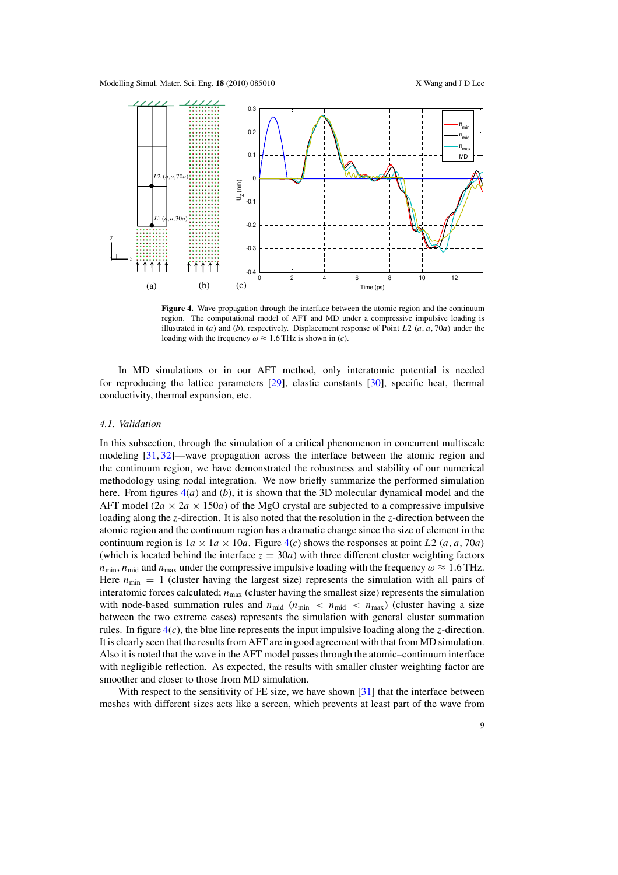

**Figure 4.** Wave propagation through the interface between the atomic region and the continuum region. The computational model of AFT and MD under a compressive impulsive loading is illustrated in (*a*) and (*b*), respectively. Displacement response of Point *L*2 *(a, a,* 70*a)* under the loading with the frequency  $\omega \approx 1.6$  THz is shown in (*c*).

In MD simulations or in our AFT method, only interatomic potential is needed for reproducing the lattice parameters [\[29\]](#page-15-0), elastic constants [\[30\]](#page-15-0), specific heat, thermal conductivity, thermal expansion, etc.

#### *4.1. Validation*

In this subsection, through the simulation of a critical phenomenon in concurrent multiscale modeling [\[31,](#page-15-0) [32\]](#page-15-0)—wave propagation across the interface between the atomic region and the continuum region, we have demonstrated the robustness and stability of our numerical methodology using nodal integration. We now briefly summarize the performed simulation here. From figures 4(*a*) and (*b*), it is shown that the 3D molecular dynamical model and the AFT model  $(2a \times 2a \times 150a)$  of the MgO crystal are subjected to a compressive impulsive loading along the *z*-direction. It is also noted that the resolution in the *z*-direction between the atomic region and the continuum region has a dramatic change since the size of element in the continuum region is  $1a \times 1a \times 10a$ . Figure 4(*c*) shows the responses at point *L*2  $(a, a, 70a)$ (which is located behind the interface  $z = 30a$ ) with three different cluster weighting factors  $n_{\text{min}}$ ,  $n_{\text{mid}}$  and  $n_{\text{max}}$  under the compressive impulsive loading with the frequency  $\omega \approx 1.6 \text{ THz}$ . Here  $n_{\text{min}} = 1$  (cluster having the largest size) represents the simulation with all pairs of interatomic forces calculated;  $n_{\text{max}}$  (cluster having the smallest size) represents the simulation with node-based summation rules and  $n_{\text{mid}}$  ( $n_{\text{min}}$  <  $n_{\text{mid}}$  <  $n_{\text{max}}$ ) (cluster having a size between the two extreme cases) represents the simulation with general cluster summation rules. In figure  $4(c)$ , the blue line represents the input impulsive loading along the *z*-direction. It is clearly seen that the results from AFT are in good agreement with that from MD simulation. Also it is noted that the wave in the AFT model passes through the atomic–continuum interface with negligible reflection. As expected, the results with smaller cluster weighting factor are smoother and closer to those from MD simulation.

With respect to the sensitivity of FE size, we have shown [\[31\]](#page-15-0) that the interface between meshes with different sizes acts like a screen, which prevents at least part of the wave from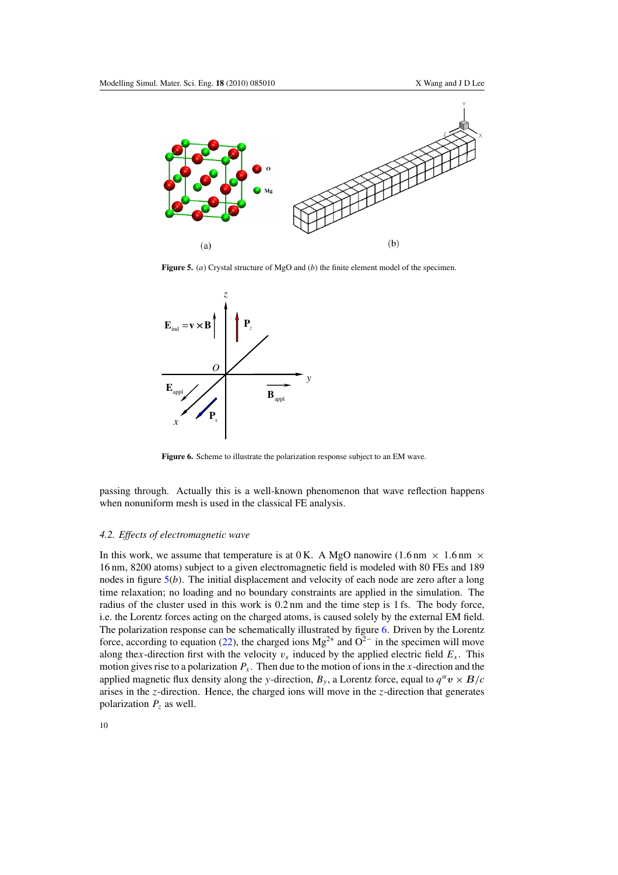<span id="page-10-0"></span>

**Figure 5.** (*a*) Crystal structure of MgO and (*b*) the finite element model of the specimen.



**Figure 6.** Scheme to illustrate the polarization response subject to an EM wave.

passing through. Actually this is a well-known phenomenon that wave reflection happens when nonuniform mesh is used in the classical FE analysis.

## *4.2. Effects of electromagnetic wave*

In this work, we assume that temperature is at 0 K. A MgO nanowire (1.6 nm  $\times$  1.6 nm  $\times$ 16 nm, 8200 atoms) subject to a given electromagnetic field is modeled with 80 FEs and 189 nodes in figure 5(*b*). The initial displacement and velocity of each node are zero after a long time relaxation; no loading and no boundary constraints are applied in the simulation. The radius of the cluster used in this work is 0.2 nm and the time step is 1 fs. The body force, i.e. the Lorentz forces acting on the charged atoms, is caused solely by the external EM field. The polarization response can be schematically illustrated by figure 6. Driven by the Lorentz force, according to equation [\(22\)](#page-5-0), the charged ions Mg<sup>2+</sup> and  $O^{2-}$  in the specimen will move along the*x*-direction first with the velocity  $v_x$  induced by the applied electric field  $E_x$ . This motion gives rise to a polarization  $P_x$ . Then due to the motion of ions in the *x*-direction and the applied magnetic flux density along the *y*-direction,  $B_y$ , a Lorentz force, equal to  $q^{\alpha}v \times B/c$ arises in the *z*-direction. Hence, the charged ions will move in the *z*-direction that generates polarization  $P_z$  as well.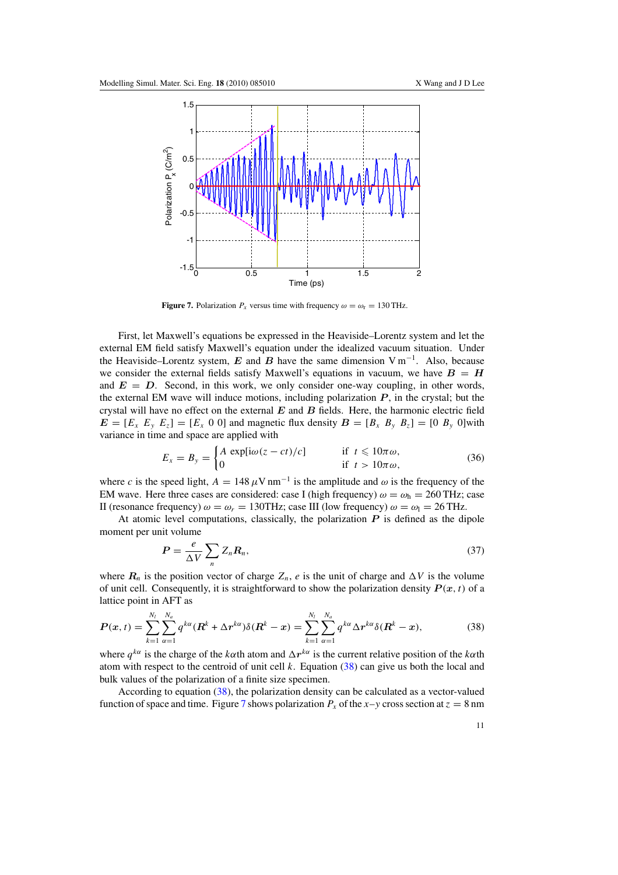

**Figure 7.** Polarization  $P_x$  versus time with frequency  $\omega = \omega_r = 130 \text{ THz}$ .

First, let Maxwell's equations be expressed in the Heaviside–Lorentz system and let the external EM field satisfy Maxwell's equation under the idealized vacuum situation. Under the Heaviside–Lorentz system,  $E$  and  $B$  have the same dimension  $V m^{-1}$ . Also, because we consider the external fields satisfy Maxwell's equations in vacuum, we have  $B = H$ and  $E = D$ . Second, in this work, we only consider one-way coupling, in other words, the external EM wave will induce motions, including polarization  $P$ , in the crystal; but the crystal will have no effect on the external *E* and *B* fields. Here, the harmonic electric field  $E = [E_x \ E_y \ E_z] = [E_x \ 0 \ 0]$  and magnetic flux density  $B = [B_x \ B_y \ B_z] = [0 \ B_y \ 0]$  with variance in time and space are applied with

$$
E_x = B_y = \begin{cases} A \exp[i\omega(z - ct)/c] & \text{if } t \leq 10\pi\omega, \\ 0 & \text{if } t > 10\pi\omega, \end{cases}
$$
(36)

where *c* is the speed light,  $A = 148 \,\mu\text{V}\,\text{nm}^{-1}$  is the amplitude and  $\omega$  is the frequency of the EM wave. Here three cases are considered: case I (high frequency)  $\omega = \omega_h = 260 \text{ THz}$ ; case II (resonance frequency)  $ω = ω_r = 130$ THz; case III (low frequency)  $ω = ω_1 = 26$  THz.

At atomic level computations, classically, the polarization *P* is defined as the dipole moment per unit volume

$$
P = \frac{e}{\Delta V} \sum_{n} Z_n R_n, \tag{37}
$$

where  $R_n$  is the position vector of charge  $Z_n$ , *e* is the unit of charge and  $\Delta V$  is the volume of unit cell. Consequently, it is straightforward to show the polarization density  $P(x, t)$  of a lattice point in AFT as

$$
P(x,t) = \sum_{k=1}^{N_l} \sum_{\alpha=1}^{N_a} q^{k\alpha} (R^k + \Delta r^{k\alpha}) \delta(R^k - x) = \sum_{k=1}^{N_l} \sum_{\alpha=1}^{N_a} q^{k\alpha} \Delta r^{k\alpha} \delta(R^k - x), \tag{38}
$$

where  $q^{k\alpha}$  is the charge of the *kα*th atom and  $\Delta r^{k\alpha}$  is the current relative position of the *kα*th atom with respect to the centroid of unit cell *k*. Equation (38) can give us both the local and bulk values of the polarization of a finite size specimen.

According to equation (38), the polarization density can be calculated as a vector-valued function of space and time. Figure 7 shows polarization  $P_x$  of the  $x-y$  cross section at  $z = 8$  nm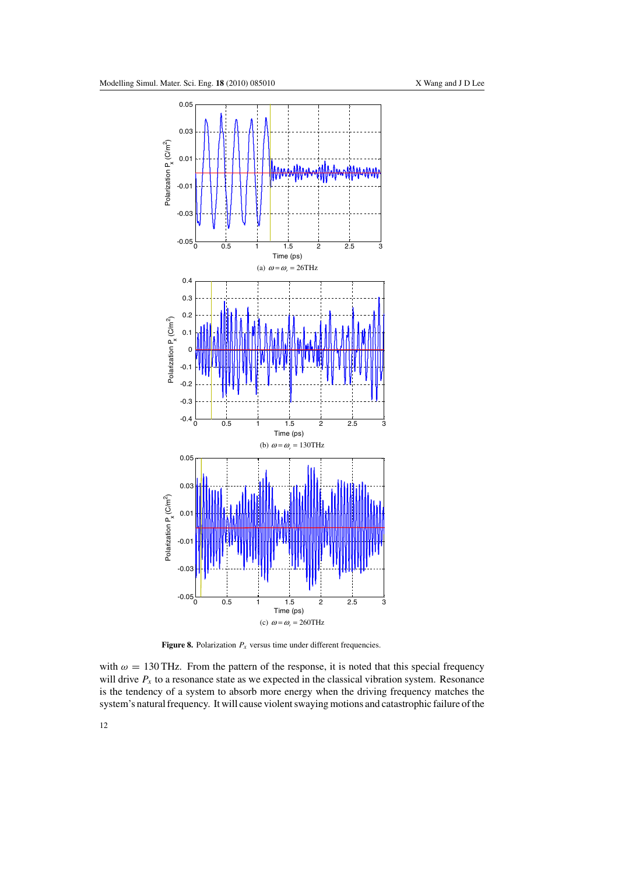<span id="page-12-0"></span>

**Figure 8.** Polarization  $P_x$  versus time under different frequencies.

with  $\omega = 130 \text{ THz}$ . From the pattern of the response, it is noted that this special frequency will drive  $P_x$  to a resonance state as we expected in the classical vibration system. Resonance is the tendency of a system to absorb more energy when the driving frequency matches the system's natural frequency. It will cause violent swaying motions and catastrophic failure of the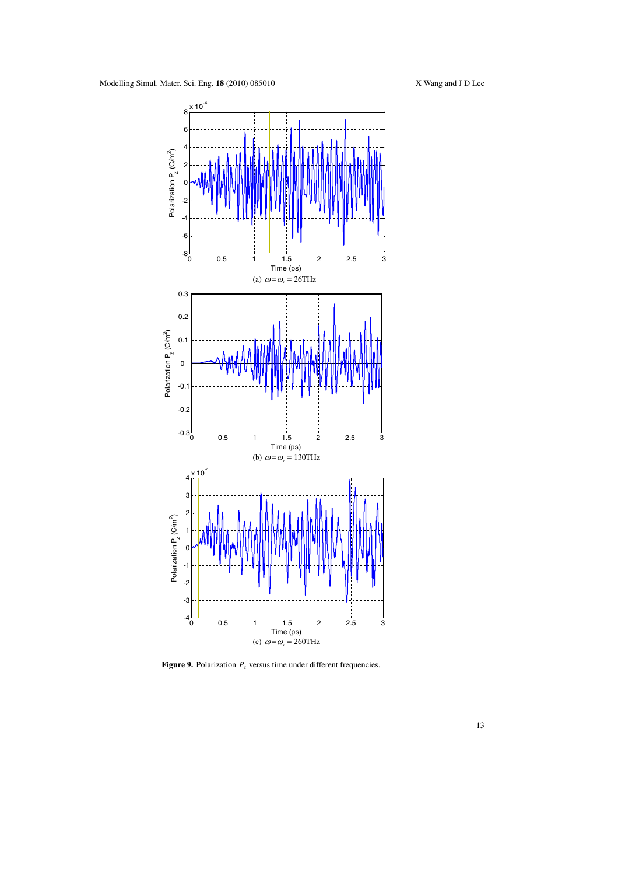<span id="page-13-0"></span>

**Figure 9.** Polarization  $P_z$  versus time under different frequencies.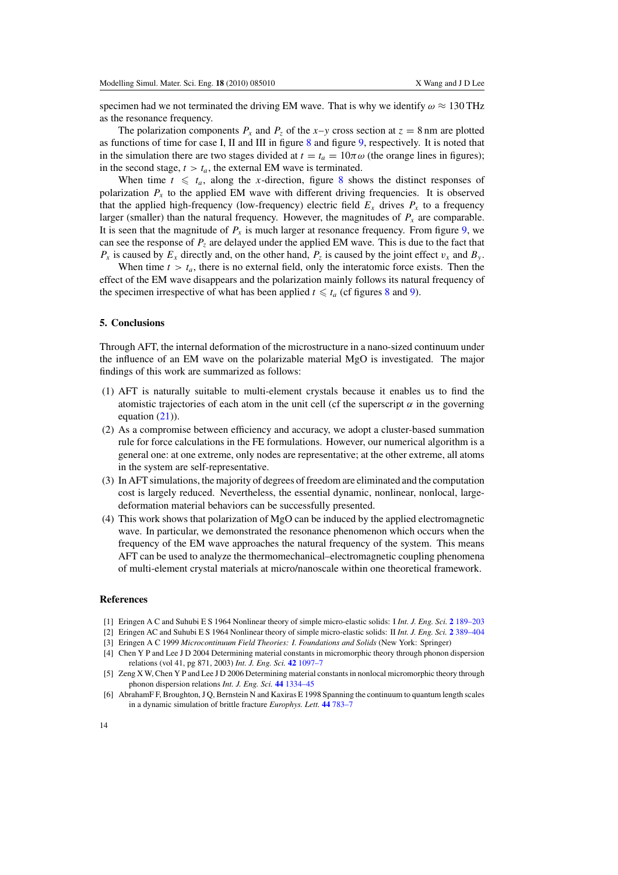<span id="page-14-0"></span>specimen had we not terminated the driving EM wave. That is why we identify  $\omega \approx 130 \text{ THz}$ as the resonance frequency.

The polarization components  $P_x$  and  $P_z$  of the *x*–*y* cross section at  $z = 8$  nm are plotted as functions of time for case I, II and III in figure [8](#page-12-0) and figure [9,](#page-13-0) respectively. It is noted that in the simulation there are two stages divided at  $t = t_a = 10\pi\omega$  (the orange lines in figures); in the second stage,  $t > t_a$ , the external EM wave is terminated.

When time  $t \leq t_a$ , along the *x*-direction, figure [8](#page-12-0) shows the distinct responses of polarization  $P<sub>x</sub>$  to the applied EM wave with different driving frequencies. It is observed that the applied high-frequency (low-frequency) electric field  $E_x$  drives  $P_x$  to a frequency larger (smaller) than the natural frequency. However, the magnitudes of  $P_x$  are comparable. It is seen that the magnitude of  $P_x$  is much larger at resonance frequency. From figure [9,](#page-13-0) we can see the response of *Pz* are delayed under the applied EM wave. This is due to the fact that  $P_x$  is caused by  $E_x$  directly and, on the other hand,  $P_z$  is caused by the joint effect  $v_x$  and  $B_y$ .

When time  $t > t_a$ , there is no external field, only the interatomic force exists. Then the effect of the EM wave disappears and the polarization mainly follows its natural frequency of the specimen irrespective of what has been applied  $t \leq t_a$  (cf figures [8](#page-12-0) and [9\)](#page-13-0).

#### **5. Conclusions**

Through AFT, the internal deformation of the microstructure in a nano-sized continuum under the influence of an EM wave on the polarizable material MgO is investigated. The major findings of this work are summarized as follows:

- (1) AFT is naturally suitable to multi-element crystals because it enables us to find the atomistic trajectories of each atom in the unit cell (cf the superscript  $\alpha$  in the governing equation  $(21)$ ).
- (2) As a compromise between efficiency and accuracy, we adopt a cluster-based summation rule for force calculations in the FE formulations. However, our numerical algorithm is a general one: at one extreme, only nodes are representative; at the other extreme, all atoms in the system are self-representative.
- (3) In AFT simulations, the majority of degrees of freedom are eliminated and the computation cost is largely reduced. Nevertheless, the essential dynamic, nonlinear, nonlocal, largedeformation material behaviors can be successfully presented.
- (4) This work shows that polarization of MgO can be induced by the applied electromagnetic wave. In particular, we demonstrated the resonance phenomenon which occurs when the frequency of the EM wave approaches the natural frequency of the system. This means AFT can be used to analyze the thermomechanical–electromagnetic coupling phenomena of multi-element crystal materials at micro/nanoscale within one theoretical framework.

#### **References**

- [1] Eringen A C and Suhubi E S 1964 Nonlinear theory of simple micro-elastic solids: I *Int. J. Eng. Sci.* **2** [189–203](http://dx.doi.org/10.1016/0020-7225(64)90004-7)
- [2] Eringen AC and Suhubi E S 1964 Nonlinear theory of simple micro-elastic solids: II *Int. J. Eng. Sci.* **2** [389–404](http://dx.doi.org/10.1016/0020-7225(64)900-17-5)
- [3] Eringen A C 1999 *Microcontinuum Field Theories: I. Foundations and Solids* (New York: Springer)

[6] AbrahamF F, Broughton, J Q, Bernstein N and Kaxiras E 1998 Spanning the continuum to quantum length scales in a dynamic simulation of brittle fracture *Europhys. Lett.* **44** [783–7](http://dx.doi.org/10.1209/epl/i1998-00536-9)

<sup>[4]</sup> Chen Y P and Lee J D 2004 Determining material constants in micromorphic theory through phonon dispersion relations (vol 41, pg 871, 2003) *Int. J. Eng. Sci.* **42** [1097–7](http://dx.doi.org/10.1016/j.ijengsci.2003.10.002)

<sup>[5]</sup> Zeng X W, Chen Y P and Lee J D 2006 Determining material constants in nonlocal micromorphic theory through phonon dispersion relations *Int. J. Eng. Sci.* **44** [1334–45](http://dx.doi.org/10.1016/j.ijengsci.2006.08.002)